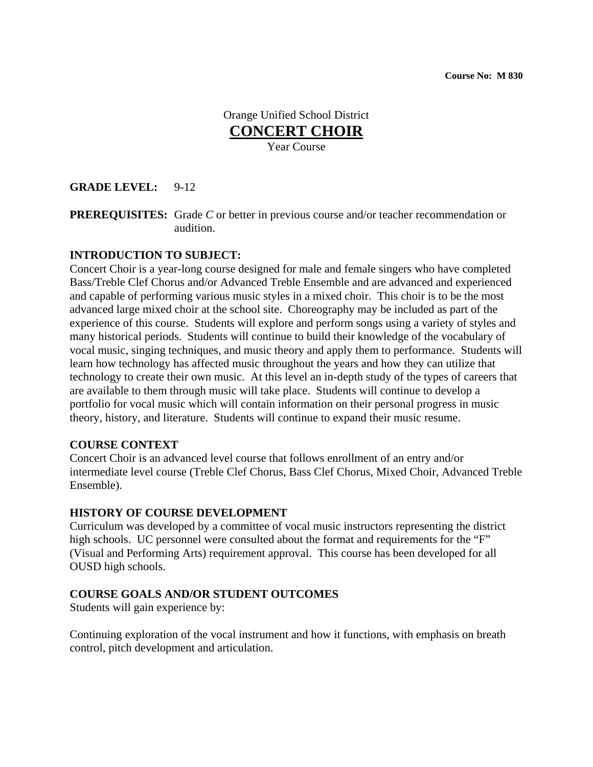## Orange Unified School District **CONCERT CHOIR** Year Course

### **GRADE LEVEL:** 9-12

**PREREQUISITES:** Grade *C* or better in previous course and/or teacher recommendation or audition.

#### **INTRODUCTION TO SUBJECT:**

Concert Choir is a year-long course designed for male and female singers who have completed Bass/Treble Clef Chorus and/or Advanced Treble Ensemble and are advanced and experienced and capable of performing various music styles in a mixed choir. This choir is to be the most advanced large mixed choir at the school site. Choreography may be included as part of the experience of this course. Students will explore and perform songs using a variety of styles and many historical periods. Students will continue to build their knowledge of the vocabulary of vocal music, singing techniques, and music theory and apply them to performance. Students will learn how technology has affected music throughout the years and how they can utilize that technology to create their own music. At this level an in-depth study of the types of careers that are available to them through music will take place. Students will continue to develop a portfolio for vocal music which will contain information on their personal progress in music theory, history, and literature. Students will continue to expand their music resume.

#### **COURSE CONTEXT**

Concert Choir is an advanced level course that follows enrollment of an entry and/or intermediate level course (Treble Clef Chorus, Bass Clef Chorus, Mixed Choir, Advanced Treble Ensemble).

#### **HISTORY OF COURSE DEVELOPMENT**

Curriculum was developed by a committee of vocal music instructors representing the district high schools. UC personnel were consulted about the format and requirements for the "F" (Visual and Performing Arts) requirement approval. This course has been developed for all OUSD high schools.

#### **COURSE GOALS AND/OR STUDENT OUTCOMES**

Students will gain experience by:

Continuing exploration of the vocal instrument and how it functions, with emphasis on breath control, pitch development and articulation.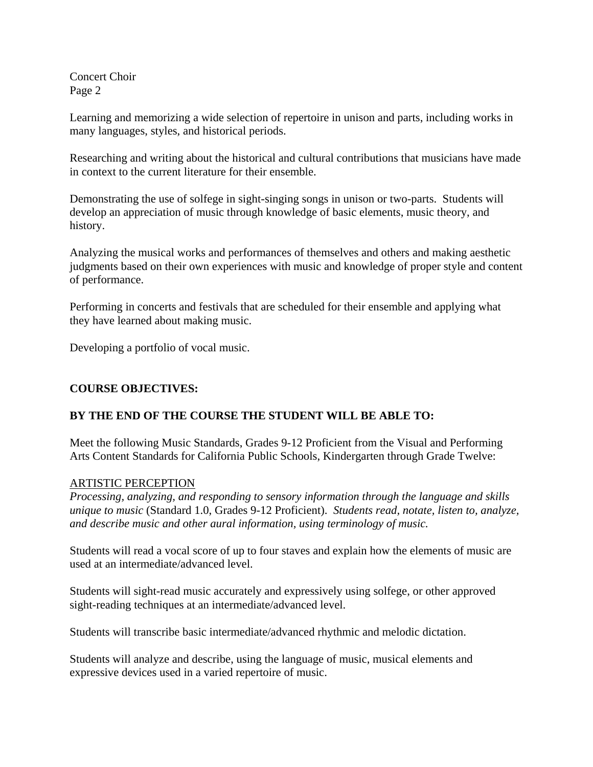Concert Choir Page 2

Learning and memorizing a wide selection of repertoire in unison and parts, including works in many languages, styles, and historical periods.

Researching and writing about the historical and cultural contributions that musicians have made in context to the current literature for their ensemble.

Demonstrating the use of solfege in sight-singing songs in unison or two-parts. Students will develop an appreciation of music through knowledge of basic elements, music theory, and history.

Analyzing the musical works and performances of themselves and others and making aesthetic judgments based on their own experiences with music and knowledge of proper style and content of performance.

Performing in concerts and festivals that are scheduled for their ensemble and applying what they have learned about making music.

Developing a portfolio of vocal music.

## **COURSE OBJECTIVES:**

## **BY THE END OF THE COURSE THE STUDENT WILL BE ABLE TO:**

Meet the following Music Standards, Grades 9-12 Proficient from the Visual and Performing Arts Content Standards for California Public Schools, Kindergarten through Grade Twelve:

### ARTISTIC PERCEPTION

*Processing, analyzing, and responding to sensory information through the language and skills unique to music* (Standard 1.0, Grades 9-12 Proficient). *Students read, notate, listen to, analyze, and describe music and other aural information, using terminology of music.*

Students will read a vocal score of up to four staves and explain how the elements of music are used at an intermediate/advanced level.

Students will sight-read music accurately and expressively using solfege, or other approved sight-reading techniques at an intermediate/advanced level.

Students will transcribe basic intermediate/advanced rhythmic and melodic dictation.

Students will analyze and describe, using the language of music, musical elements and expressive devices used in a varied repertoire of music.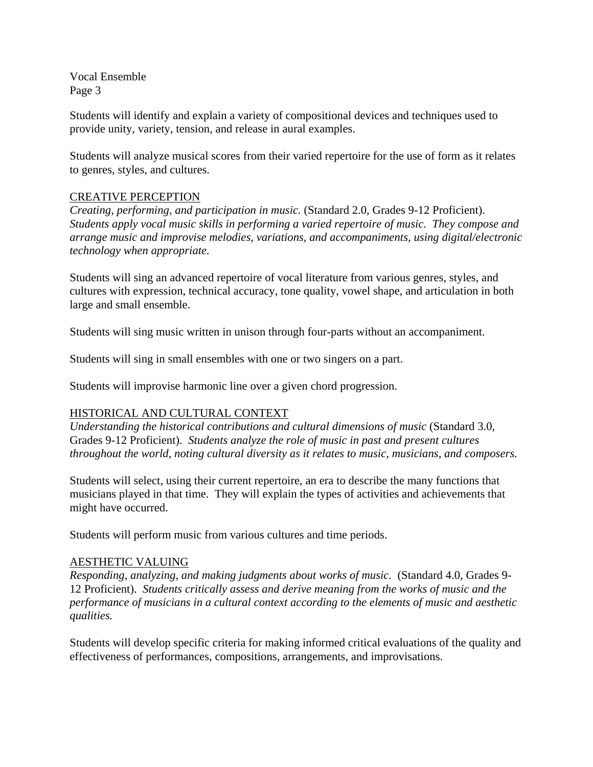Students will identify and explain a variety of compositional devices and techniques used to provide unity, variety, tension, and release in aural examples.

Students will analyze musical scores from their varied repertoire for the use of form as it relates to genres, styles, and cultures.

# CREATIVE PERCEPTION

*Creating, performing, and participation in music.* (Standard 2.0, Grades 9-12 Proficient). *Students apply vocal music skills in performing a varied repertoire of music. They compose and arrange music and improvise melodies, variations, and accompaniments, using digital/electronic technology when appropriate.* 

Students will sing an advanced repertoire of vocal literature from various genres, styles, and cultures with expression, technical accuracy, tone quality, vowel shape, and articulation in both large and small ensemble.

Students will sing music written in unison through four-parts without an accompaniment.

Students will sing in small ensembles with one or two singers on a part.

Students will improvise harmonic line over a given chord progression.

## HISTORICAL AND CULTURAL CONTEXT

*Understanding the historical contributions and cultural dimensions of music* (Standard 3.0, Grades 9-12 Proficient). *Students analyze the role of music in past and present cultures throughout the world, noting cultural diversity as it relates to music, musicians, and composers.*

Students will select, using their current repertoire, an era to describe the many functions that musicians played in that time. They will explain the types of activities and achievements that might have occurred.

Students will perform music from various cultures and time periods.

### AESTHETIC VALUING

*Responding, analyzing, and making judgments about works of music.* (Standard 4.0, Grades 9- 12 Proficient). *Students critically assess and derive meaning from the works of music and the performance of musicians in a cultural context according to the elements of music and aesthetic qualities.*

Students will develop specific criteria for making informed critical evaluations of the quality and effectiveness of performances, compositions, arrangements, and improvisations.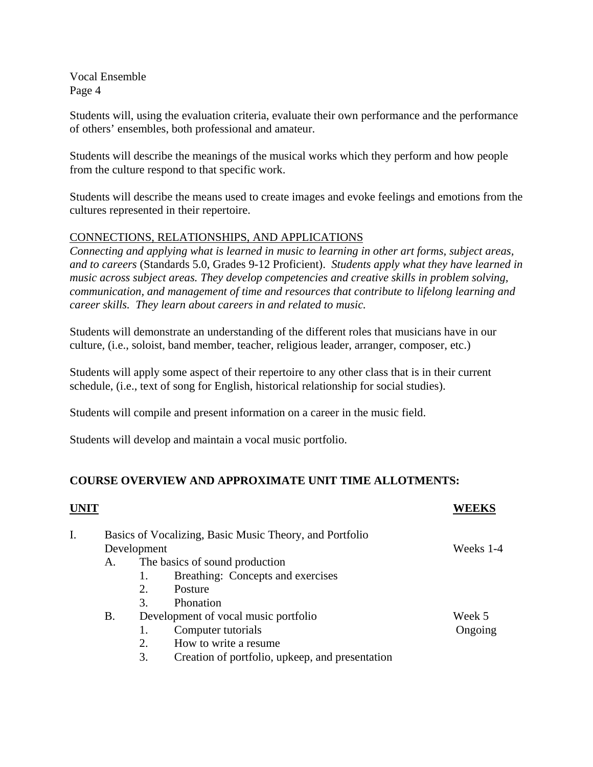Students will, using the evaluation criteria, evaluate their own performance and the performance of others' ensembles, both professional and amateur.

Students will describe the meanings of the musical works which they perform and how people from the culture respond to that specific work.

Students will describe the means used to create images and evoke feelings and emotions from the cultures represented in their repertoire.

## CONNECTIONS, RELATIONSHIPS, AND APPLICATIONS

*Connecting and applying what is learned in music to learning in other art forms, subject areas, and to careers* (Standards 5.0, Grades 9-12 Proficient). *Students apply what they have learned in music across subject areas. They develop competencies and creative skills in problem solving, communication, and management of time and resources that contribute to lifelong learning and career skills. They learn about careers in and related to music.*

Students will demonstrate an understanding of the different roles that musicians have in our culture, (i.e., soloist, band member, teacher, religious leader, arranger, composer, etc.)

Students will apply some aspect of their repertoire to any other class that is in their current schedule, (i.e., text of song for English, historical relationship for social studies).

Students will compile and present information on a career in the music field.

Students will develop and maintain a vocal music portfolio.

## **COURSE OVERVIEW AND APPROXIMATE UNIT TIME ALLOTMENTS:**

| <b>UNIT</b> |                                                         |                                      |                                                 |         |
|-------------|---------------------------------------------------------|--------------------------------------|-------------------------------------------------|---------|
|             | Basics of Vocalizing, Basic Music Theory, and Portfolio |                                      |                                                 |         |
|             |                                                         | Development                          | Weeks 1-4                                       |         |
|             | А.                                                      |                                      | The basics of sound production                  |         |
|             |                                                         | 1.                                   | Breathing: Concepts and exercises               |         |
|             |                                                         | 2.                                   | Posture                                         |         |
|             |                                                         | 3.                                   | Phonation                                       |         |
|             | <b>B.</b>                                               | Development of vocal music portfolio |                                                 | Week 5  |
|             |                                                         |                                      | Computer tutorials                              | Ongoing |
|             |                                                         | 2.                                   | How to write a resume.                          |         |
|             |                                                         | 3.                                   | Creation of portfolio, upkeep, and presentation |         |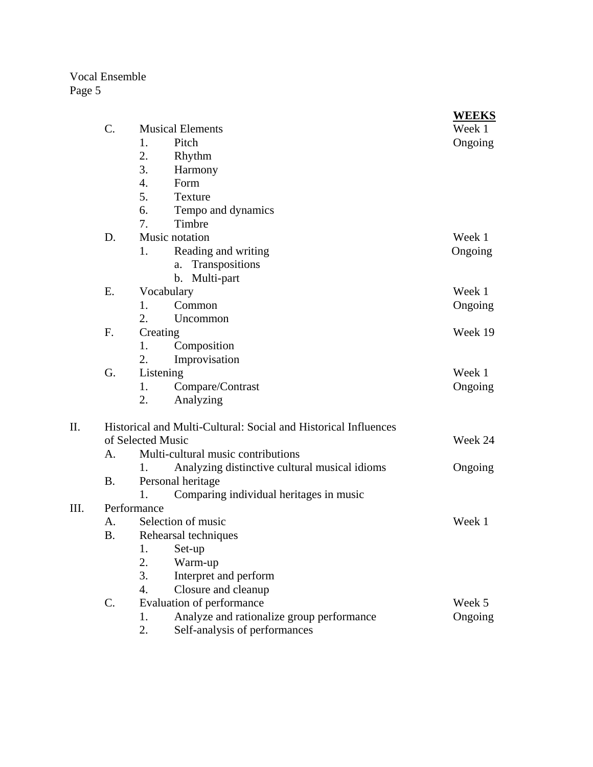|      |                                                                 |                                    |                                               | <b>WEEKS</b> |  |  |
|------|-----------------------------------------------------------------|------------------------------------|-----------------------------------------------|--------------|--|--|
|      | $\mathcal{C}$ .                                                 | <b>Musical Elements</b>            | Week 1                                        |              |  |  |
|      |                                                                 | 1.                                 | Pitch                                         | Ongoing      |  |  |
|      |                                                                 | 2.                                 | Rhythm                                        |              |  |  |
|      |                                                                 | 3.                                 | Harmony                                       |              |  |  |
|      |                                                                 | 4.                                 | Form                                          |              |  |  |
|      |                                                                 | 5.                                 | Texture                                       |              |  |  |
|      |                                                                 | 6.                                 | Tempo and dynamics                            |              |  |  |
|      |                                                                 | 7.                                 | Timbre                                        |              |  |  |
|      | D.                                                              |                                    | Music notation                                | Week 1       |  |  |
|      |                                                                 | 1.                                 | Reading and writing                           | Ongoing      |  |  |
|      |                                                                 |                                    | Transpositions<br>a.                          |              |  |  |
|      |                                                                 |                                    | b. Multi-part                                 |              |  |  |
|      | E.                                                              | Vocabulary                         | Week 1                                        |              |  |  |
|      |                                                                 | 1.                                 | Common                                        | Ongoing      |  |  |
|      |                                                                 | 2.                                 | Uncommon                                      |              |  |  |
|      | F.                                                              | Creating                           |                                               | Week 19      |  |  |
|      |                                                                 | 1.                                 | Composition                                   |              |  |  |
|      |                                                                 | 2.                                 | Improvisation                                 |              |  |  |
|      | G.                                                              | Listening                          | Week 1                                        |              |  |  |
|      |                                                                 | 1.                                 | Compare/Contrast                              | Ongoing      |  |  |
|      |                                                                 | 2.                                 | Analyzing                                     |              |  |  |
| II.  | Historical and Multi-Cultural: Social and Historical Influences |                                    |                                               |              |  |  |
|      |                                                                 | of Selected Music<br>Week 24       |                                               |              |  |  |
|      | A.                                                              | Multi-cultural music contributions |                                               |              |  |  |
|      |                                                                 | 1.                                 | Analyzing distinctive cultural musical idioms | Ongoing      |  |  |
|      | <b>B.</b>                                                       | Personal heritage                  |                                               |              |  |  |
|      |                                                                 | 1.                                 | Comparing individual heritages in music       |              |  |  |
| III. | Performance                                                     |                                    |                                               |              |  |  |
|      | A.                                                              | Selection of music<br>Week 1       |                                               |              |  |  |
|      | <b>B.</b>                                                       | Rehearsal techniques               |                                               |              |  |  |
|      |                                                                 | 1.                                 | Set-up                                        |              |  |  |
|      |                                                                 | 2.                                 | Warm-up                                       |              |  |  |
|      |                                                                 | 3.                                 | Interpret and perform                         |              |  |  |
|      |                                                                 | 4.                                 | Closure and cleanup                           |              |  |  |
|      | $\mathbf{C}$ .                                                  | Evaluation of performance          | Week 5                                        |              |  |  |
|      |                                                                 | 1.                                 | Analyze and rationalize group performance     | Ongoing      |  |  |
|      |                                                                 | 2.                                 | Self-analysis of performances                 |              |  |  |